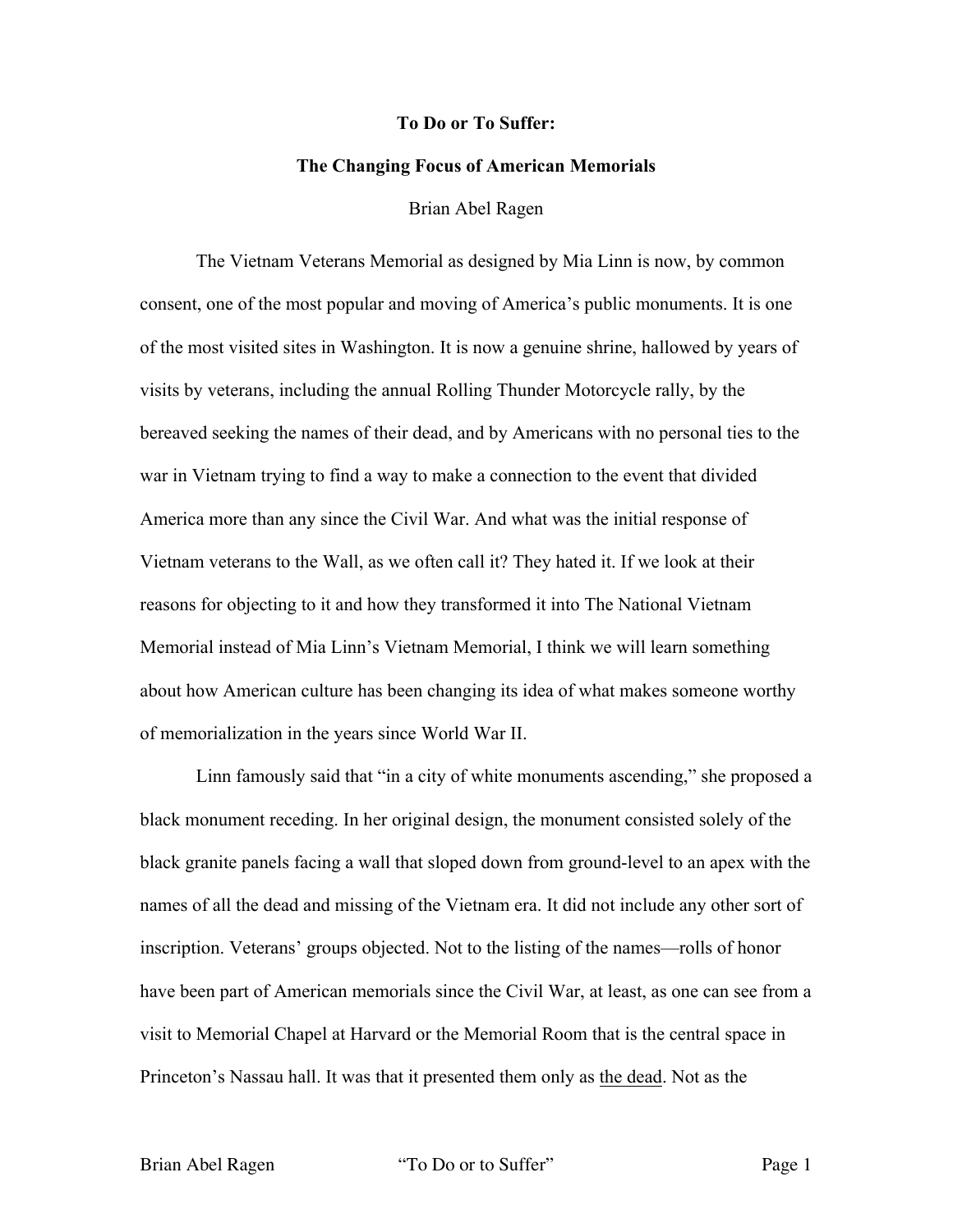## **To Do or To Suffer:**

## **The Changing Focus of American Memorials**

## Brian Abel Ragen

The Vietnam Veterans Memorial as designed by Mia Linn is now, by common consent, one of the most popular and moving of America's public monuments. It is one of the most visited sites in Washington. It is now a genuine shrine, hallowed by years of visits by veterans, including the annual Rolling Thunder Motorcycle rally, by the bereaved seeking the names of their dead, and by Americans with no personal ties to the war in Vietnam trying to find a way to make a connection to the event that divided America more than any since the Civil War. And what was the initial response of Vietnam veterans to the Wall, as we often call it? They hated it. If we look at their reasons for objecting to it and how they transformed it into The National Vietnam Memorial instead of Mia Linn's Vietnam Memorial, I think we will learn something about how American culture has been changing its idea of what makes someone worthy of memorialization in the years since World War II.

Linn famously said that "in a city of white monuments ascending," she proposed a black monument receding. In her original design, the monument consisted solely of the black granite panels facing a wall that sloped down from ground-level to an apex with the names of all the dead and missing of the Vietnam era. It did not include any other sort of inscription. Veterans' groups objected. Not to the listing of the names—rolls of honor have been part of American memorials since the Civil War, at least, as one can see from a visit to Memorial Chapel at Harvard or the Memorial Room that is the central space in Princeton's Nassau hall. It was that it presented them only as the dead. Not as the

Brian Abel Ragen "To Do or to Suffer" Page 1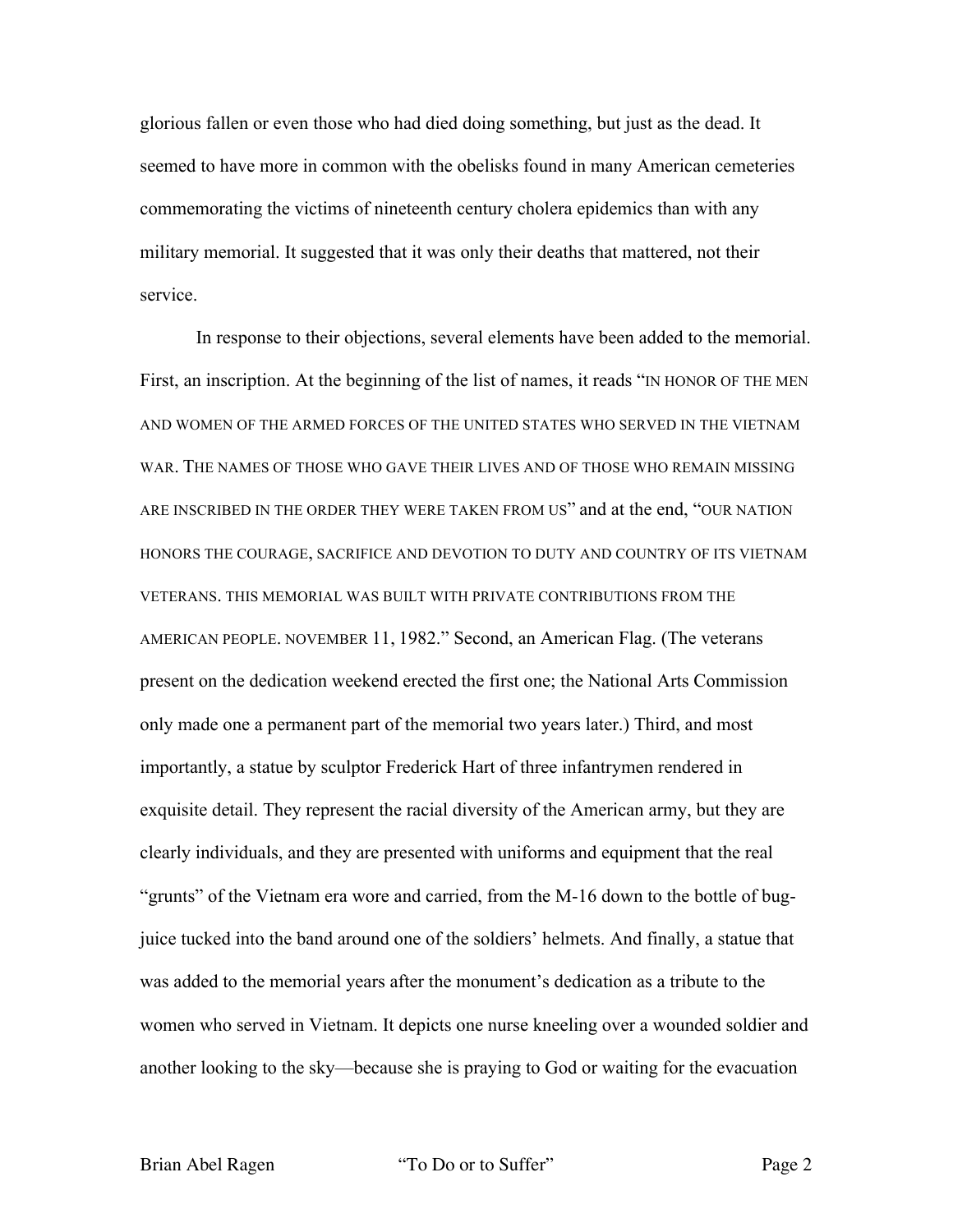glorious fallen or even those who had died doing something, but just as the dead. It seemed to have more in common with the obelisks found in many American cemeteries commemorating the victims of nineteenth century cholera epidemics than with any military memorial. It suggested that it was only their deaths that mattered, not their service.

In response to their objections, several elements have been added to the memorial. First, an inscription. At the beginning of the list of names, it reads "IN HONOR OF THE MEN AND WOMEN OF THE ARMED FORCES OF THE UNITED STATES WHO SERVED IN THE VIETNAM WAR. THE NAMES OF THOSE WHO GAVE THEIR LIVES AND OF THOSE WHO REMAIN MISSING ARE INSCRIBED IN THE ORDER THEY WERE TAKEN FROM US" and at the end, "OUR NATION HONORS THE COURAGE, SACRIFICE AND DEVOTION TO DUTY AND COUNTRY OF ITS VIETNAM VETERANS. THIS MEMORIAL WAS BUILT WITH PRIVATE CONTRIBUTIONS FROM THE AMERICAN PEOPLE. NOVEMBER 11, 1982." Second, an American Flag. (The veterans present on the dedication weekend erected the first one; the National Arts Commission only made one a permanent part of the memorial two years later.) Third, and most importantly, a statue by sculptor Frederick Hart of three infantrymen rendered in exquisite detail. They represent the racial diversity of the American army, but they are clearly individuals, and they are presented with uniforms and equipment that the real "grunts" of the Vietnam era wore and carried, from the M-16 down to the bottle of bugjuice tucked into the band around one of the soldiers' helmets. And finally, a statue that was added to the memorial years after the monument's dedication as a tribute to the women who served in Vietnam. It depicts one nurse kneeling over a wounded soldier and another looking to the sky—because she is praying to God or waiting for the evacuation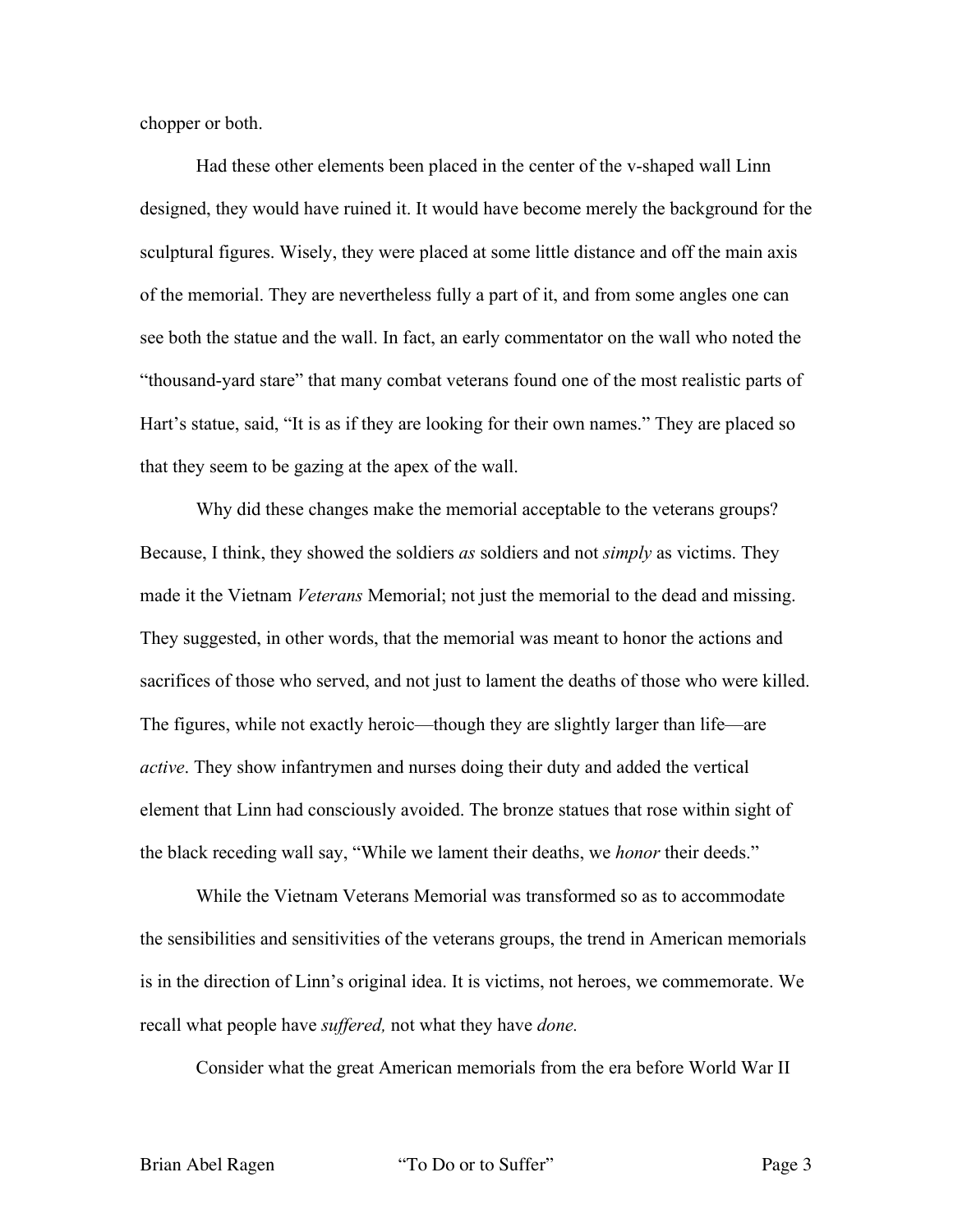chopper or both.

Had these other elements been placed in the center of the v-shaped wall Linn designed, they would have ruined it. It would have become merely the background for the sculptural figures. Wisely, they were placed at some little distance and off the main axis of the memorial. They are nevertheless fully a part of it, and from some angles one can see both the statue and the wall. In fact, an early commentator on the wall who noted the "thousand-yard stare" that many combat veterans found one of the most realistic parts of Hart's statue, said, "It is as if they are looking for their own names." They are placed so that they seem to be gazing at the apex of the wall.

Why did these changes make the memorial acceptable to the veterans groups? Because, I think, they showed the soldiers *as* soldiers and not *simply* as victims. They made it the Vietnam *Veterans* Memorial; not just the memorial to the dead and missing. They suggested, in other words, that the memorial was meant to honor the actions and sacrifices of those who served, and not just to lament the deaths of those who were killed. The figures, while not exactly heroic—though they are slightly larger than life—are *active*. They show infantrymen and nurses doing their duty and added the vertical element that Linn had consciously avoided. The bronze statues that rose within sight of the black receding wall say, "While we lament their deaths, we *honor* their deeds."

While the Vietnam Veterans Memorial was transformed so as to accommodate the sensibilities and sensitivities of the veterans groups, the trend in American memorials is in the direction of Linn's original idea. It is victims, not heroes, we commemorate. We recall what people have *suffered,* not what they have *done.*

Consider what the great American memorials from the era before World War II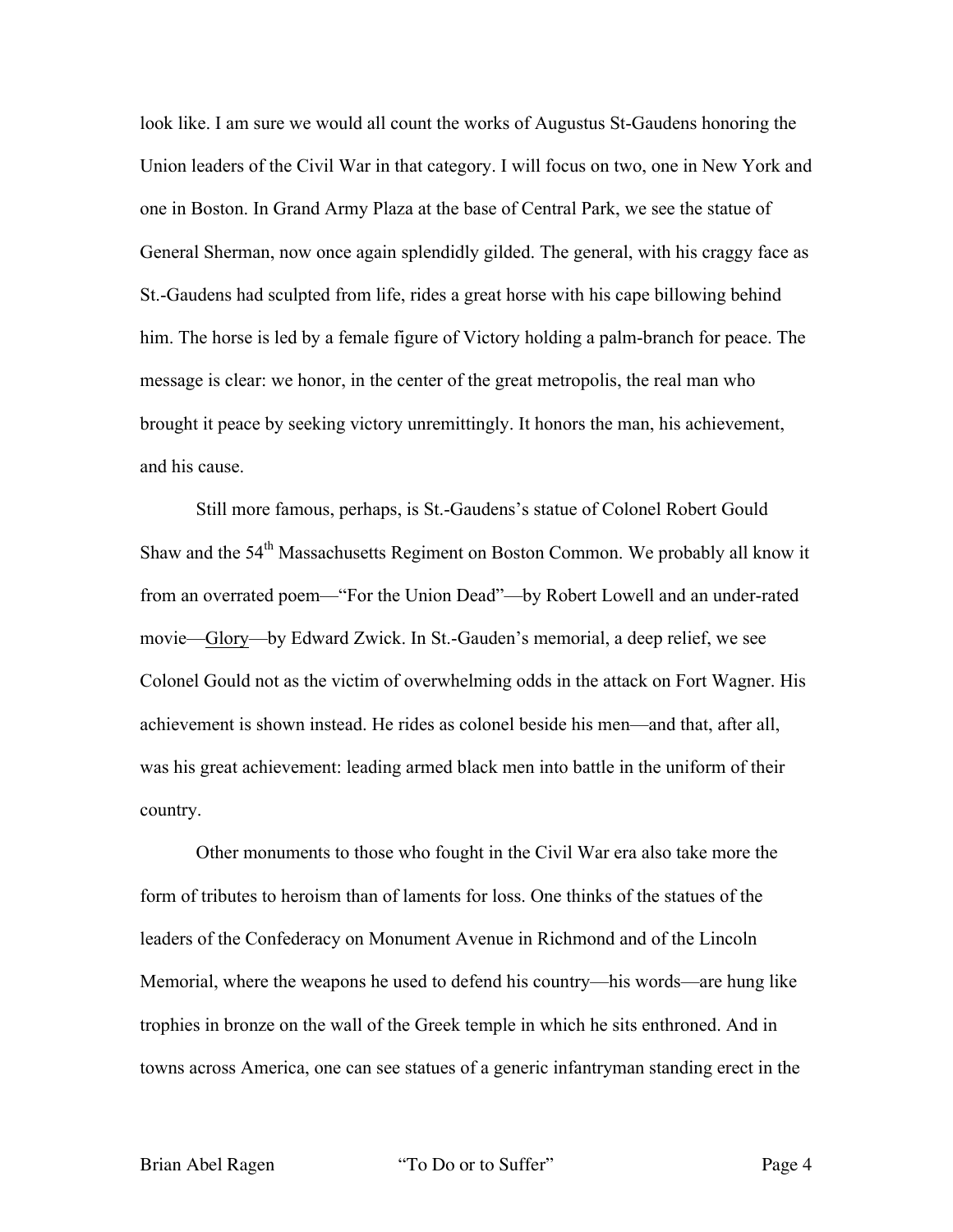look like. I am sure we would all count the works of Augustus St-Gaudens honoring the Union leaders of the Civil War in that category. I will focus on two, one in New York and one in Boston. In Grand Army Plaza at the base of Central Park, we see the statue of General Sherman, now once again splendidly gilded. The general, with his craggy face as St.-Gaudens had sculpted from life, rides a great horse with his cape billowing behind him. The horse is led by a female figure of Victory holding a palm-branch for peace. The message is clear: we honor, in the center of the great metropolis, the real man who brought it peace by seeking victory unremittingly. It honors the man, his achievement, and his cause.

Still more famous, perhaps, is St.-Gaudens's statue of Colonel Robert Gould Shaw and the 54<sup>th</sup> Massachusetts Regiment on Boston Common. We probably all know it from an overrated poem—"For the Union Dead"—by Robert Lowell and an under-rated movie—Glory—by Edward Zwick. In St.-Gauden's memorial, a deep relief, we see Colonel Gould not as the victim of overwhelming odds in the attack on Fort Wagner. His achievement is shown instead. He rides as colonel beside his men—and that, after all, was his great achievement: leading armed black men into battle in the uniform of their country.

Other monuments to those who fought in the Civil War era also take more the form of tributes to heroism than of laments for loss. One thinks of the statues of the leaders of the Confederacy on Monument Avenue in Richmond and of the Lincoln Memorial, where the weapons he used to defend his country—his words—are hung like trophies in bronze on the wall of the Greek temple in which he sits enthroned. And in towns across America, one can see statues of a generic infantryman standing erect in the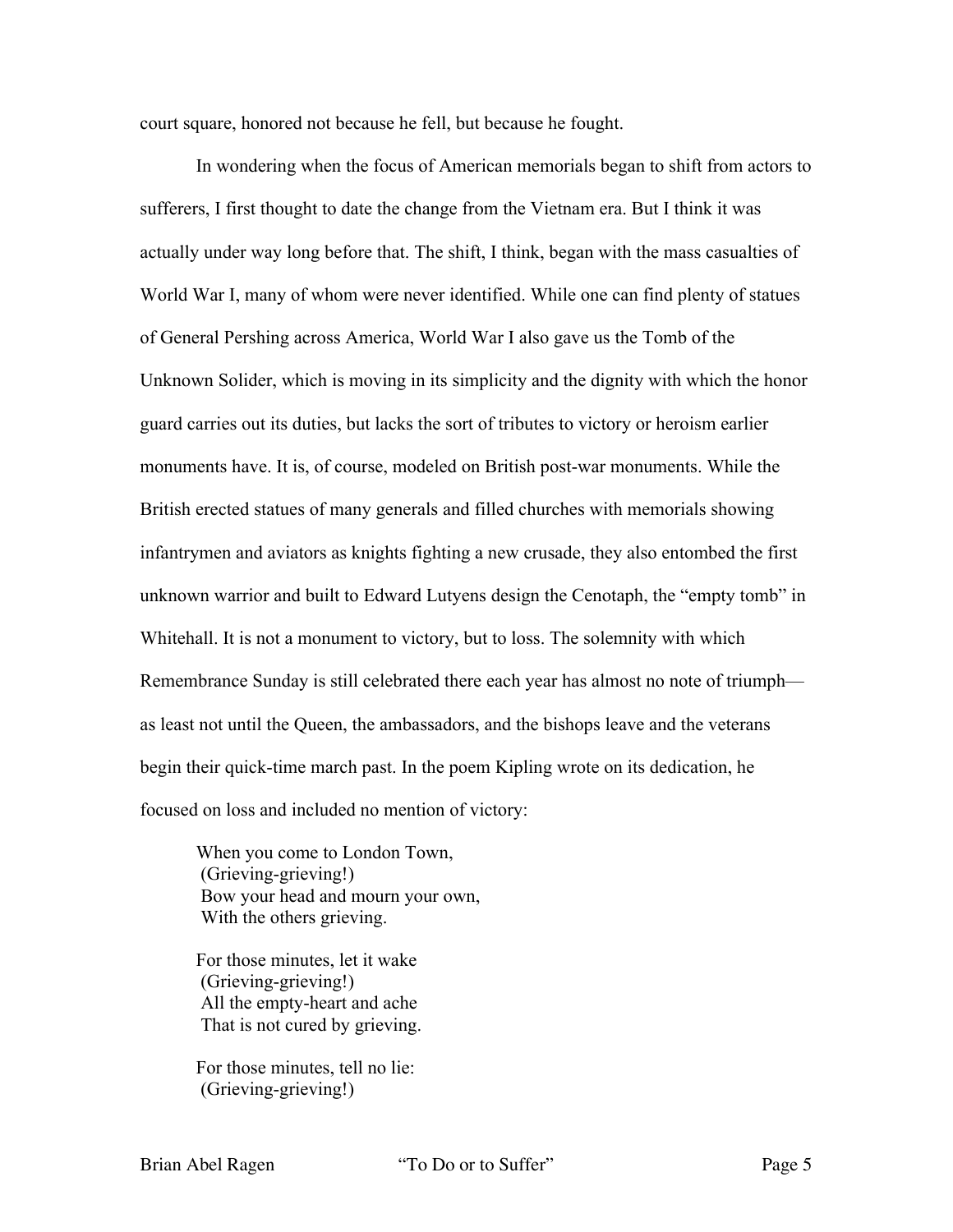court square, honored not because he fell, but because he fought.

In wondering when the focus of American memorials began to shift from actors to sufferers, I first thought to date the change from the Vietnam era. But I think it was actually under way long before that. The shift, I think, began with the mass casualties of World War I, many of whom were never identified. While one can find plenty of statues of General Pershing across America, World War I also gave us the Tomb of the Unknown Solider, which is moving in its simplicity and the dignity with which the honor guard carries out its duties, but lacks the sort of tributes to victory or heroism earlier monuments have. It is, of course, modeled on British post-war monuments. While the British erected statues of many generals and filled churches with memorials showing infantrymen and aviators as knights fighting a new crusade, they also entombed the first unknown warrior and built to Edward Lutyens design the Cenotaph, the "empty tomb" in Whitehall. It is not a monument to victory, but to loss. The solemnity with which Remembrance Sunday is still celebrated there each year has almost no note of triumph as least not until the Queen, the ambassadors, and the bishops leave and the veterans begin their quick-time march past. In the poem Kipling wrote on its dedication, he focused on loss and included no mention of victory:

When you come to London Town, (Grieving-grieving!) Bow your head and mourn your own, With the others grieving.

For those minutes, let it wake (Grieving-grieving!) All the empty-heart and ache That is not cured by grieving.

For those minutes, tell no lie: (Grieving-grieving!)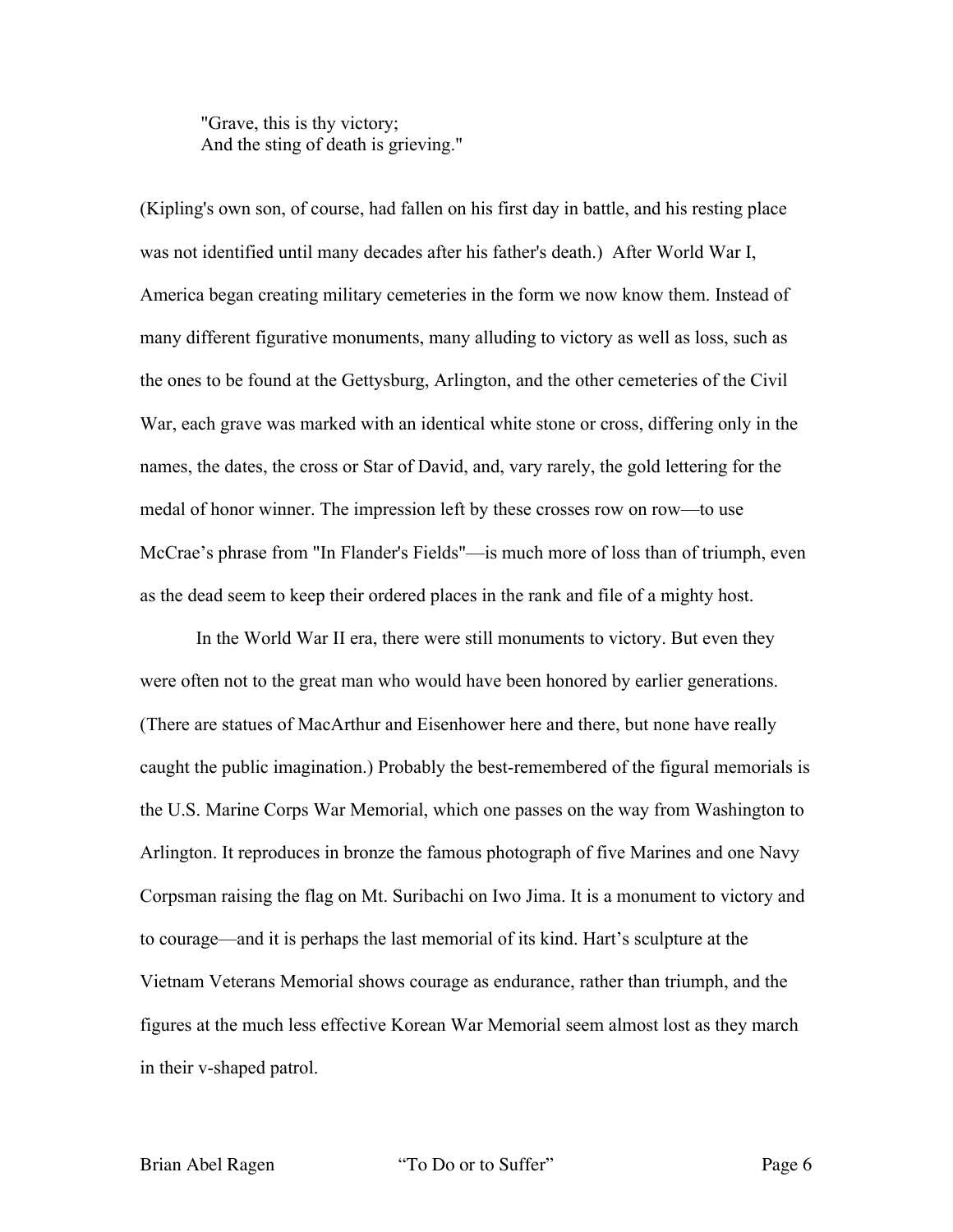"Grave, this is thy victory; And the sting of death is grieving."

(Kipling's own son, of course, had fallen on his first day in battle, and his resting place was not identified until many decades after his father's death.) After World War I, America began creating military cemeteries in the form we now know them. Instead of many different figurative monuments, many alluding to victory as well as loss, such as the ones to be found at the Gettysburg, Arlington, and the other cemeteries of the Civil War, each grave was marked with an identical white stone or cross, differing only in the names, the dates, the cross or Star of David, and, vary rarely, the gold lettering for the medal of honor winner. The impression left by these crosses row on row—to use McCrae's phrase from "In Flander's Fields"—is much more of loss than of triumph, even as the dead seem to keep their ordered places in the rank and file of a mighty host.

In the World War II era, there were still monuments to victory. But even they were often not to the great man who would have been honored by earlier generations. (There are statues of MacArthur and Eisenhower here and there, but none have really caught the public imagination.) Probably the best-remembered of the figural memorials is the U.S. Marine Corps War Memorial, which one passes on the way from Washington to Arlington. It reproduces in bronze the famous photograph of five Marines and one Navy Corpsman raising the flag on Mt. Suribachi on Iwo Jima. It is a monument to victory and to courage—and it is perhaps the last memorial of its kind. Hart's sculpture at the Vietnam Veterans Memorial shows courage as endurance, rather than triumph, and the figures at the much less effective Korean War Memorial seem almost lost as they march in their v-shaped patrol.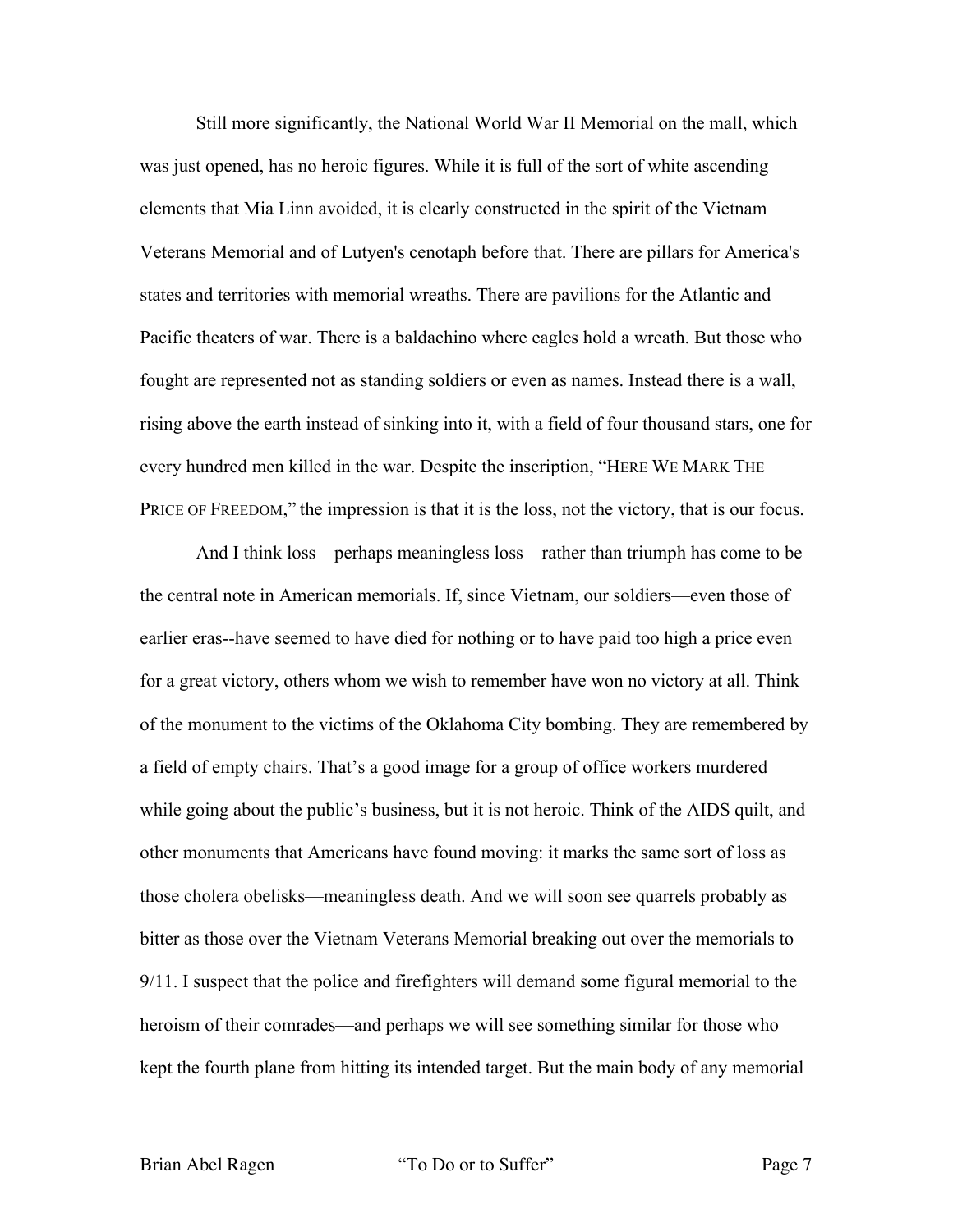Still more significantly, the National World War II Memorial on the mall, which was just opened, has no heroic figures. While it is full of the sort of white ascending elements that Mia Linn avoided, it is clearly constructed in the spirit of the Vietnam Veterans Memorial and of Lutyen's cenotaph before that. There are pillars for America's states and territories with memorial wreaths. There are pavilions for the Atlantic and Pacific theaters of war. There is a baldachino where eagles hold a wreath. But those who fought are represented not as standing soldiers or even as names. Instead there is a wall, rising above the earth instead of sinking into it, with a field of four thousand stars, one for every hundred men killed in the war. Despite the inscription, "HERE WE MARK THE PRICE OF FREEDOM," the impression is that it is the loss, not the victory, that is our focus.

And I think loss—perhaps meaningless loss—rather than triumph has come to be the central note in American memorials. If, since Vietnam, our soldiers—even those of earlier eras--have seemed to have died for nothing or to have paid too high a price even for a great victory, others whom we wish to remember have won no victory at all. Think of the monument to the victims of the Oklahoma City bombing. They are remembered by a field of empty chairs. That's a good image for a group of office workers murdered while going about the public's business, but it is not heroic. Think of the AIDS quilt, and other monuments that Americans have found moving: it marks the same sort of loss as those cholera obelisks—meaningless death. And we will soon see quarrels probably as bitter as those over the Vietnam Veterans Memorial breaking out over the memorials to 9/11. I suspect that the police and firefighters will demand some figural memorial to the heroism of their comrades—and perhaps we will see something similar for those who kept the fourth plane from hitting its intended target. But the main body of any memorial